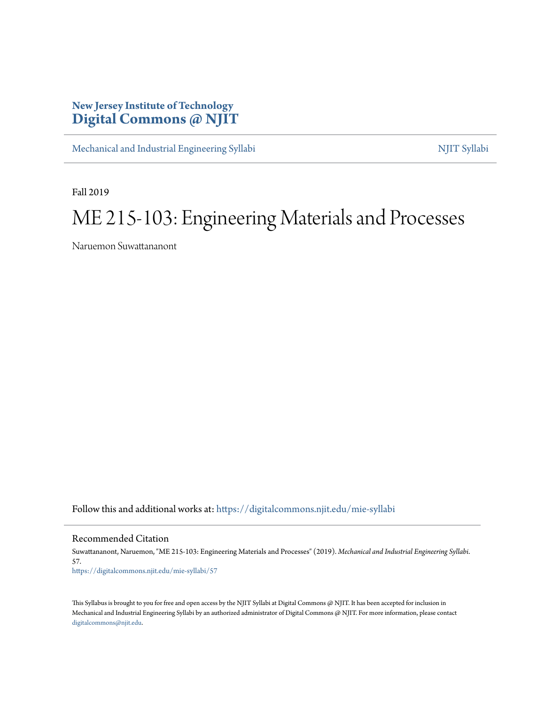# **New Jersey Institute of Technology [Digital Commons @ NJIT](https://digitalcommons.njit.edu/?utm_source=digitalcommons.njit.edu%2Fmie-syllabi%2F57&utm_medium=PDF&utm_campaign=PDFCoverPages)**

[Mechanical and Industrial Engineering Syllabi](https://digitalcommons.njit.edu/mie-syllabi?utm_source=digitalcommons.njit.edu%2Fmie-syllabi%2F57&utm_medium=PDF&utm_campaign=PDFCoverPages) [NJIT Syllabi](https://digitalcommons.njit.edu/syllabi?utm_source=digitalcommons.njit.edu%2Fmie-syllabi%2F57&utm_medium=PDF&utm_campaign=PDFCoverPages) NJIT Syllabi

Fall 2019

# ME 215-103: Engineering Materials and Processes

Naruemon Suwattananont

Follow this and additional works at: [https://digitalcommons.njit.edu/mie-syllabi](https://digitalcommons.njit.edu/mie-syllabi?utm_source=digitalcommons.njit.edu%2Fmie-syllabi%2F57&utm_medium=PDF&utm_campaign=PDFCoverPages)

Recommended Citation

Suwattananont, Naruemon, "ME 215-103: Engineering Materials and Processes" (2019). *Mechanical and Industrial Engineering Syllabi*. 57. [https://digitalcommons.njit.edu/mie-syllabi/57](https://digitalcommons.njit.edu/mie-syllabi/57?utm_source=digitalcommons.njit.edu%2Fmie-syllabi%2F57&utm_medium=PDF&utm_campaign=PDFCoverPages)

This Syllabus is brought to you for free and open access by the NJIT Syllabi at Digital Commons @ NJIT. It has been accepted for inclusion in Mechanical and Industrial Engineering Syllabi by an authorized administrator of Digital Commons @ NJIT. For more information, please contact [digitalcommons@njit.edu](mailto:digitalcommons@njit.edu).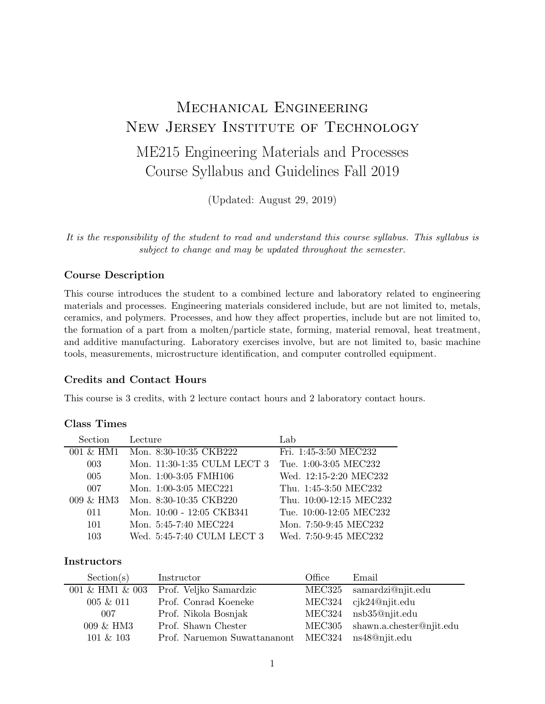# Mechanical Engineering NEW JERSEY INSTITUTE OF TECHNOLOGY ME215 Engineering Materials and Processes Course Syllabus and Guidelines Fall 2019

(Updated: August 29, 2019)

It is the responsibility of the student to read and understand this course syllabus. This syllabus is subject to change and may be updated throughout the semester.

#### Course Description

This course introduces the student to a combined lecture and laboratory related to engineering materials and processes. Engineering materials considered include, but are not limited to, metals, ceramics, and polymers. Processes, and how they affect properties, include but are not limited to, the formation of a part from a molten/particle state, forming, material removal, heat treatment, and additive manufacturing. Laboratory exercises involve, but are not limited to, basic machine tools, measurements, microstructure identification, and computer controlled equipment.

#### Credits and Contact Hours

This course is 3 credits, with 2 lecture contact hours and 2 laboratory contact hours.

| <b>Section</b>     | Lecture                     | Lab                     |
|--------------------|-----------------------------|-------------------------|
| $001 \& H M1$      | Mon. 8:30-10:35 CKB222      | Fri. 1:45-3:50 MEC232   |
| 003                | Mon. 11:30-1:35 CULM LECT 3 | Tue. 1:00-3:05 MEC232   |
| 005                | Mon. 1:00-3:05 FMH106       | Wed. 12:15-2:20 MEC232  |
| 007                | Mon. 1:00-3:05 MEC221       | Thu. 1:45-3:50 MEC232   |
| $009 \; \& \; HM3$ | Mon. 8:30-10:35 CKB220      | Thu. 10:00-12:15 MEC232 |
| 011                | Mon. 10:00 - 12:05 CKB341   | Tue. 10:00-12:05 MEC232 |
| 101                | Mon. 5:45-7:40 MEC224       | Mon. 7:50-9:45 MEC232   |
| 103                | Wed. 5:45-7:40 CULM LECT 3  | Wed. 7:50-9:45 MEC232   |

#### Class Times

#### **Instructors**

| Section(s)      | Instructor                                        | Office | Email                           |
|-----------------|---------------------------------------------------|--------|---------------------------------|
| 001 & HM1 & 003 | Prof. Veljko Samardzic                            |        | MEC325 samardzi@njit.edu        |
| $005 \& 011$    | Prof. Conrad Koeneke                              |        | $MEC324$ cjk24@njit.edu         |
| 007             | Prof. Nikola Bosnjak                              |        | MEC324 nsb35@njit.edu           |
| 009 & HM3       | Prof. Shawn Chester                               |        | MEC305 shawn.a.chester@njit.edu |
| $101 \& 103$    | Prof. Naruemon Suwattananont MEC324 ns48@njit.edu |        |                                 |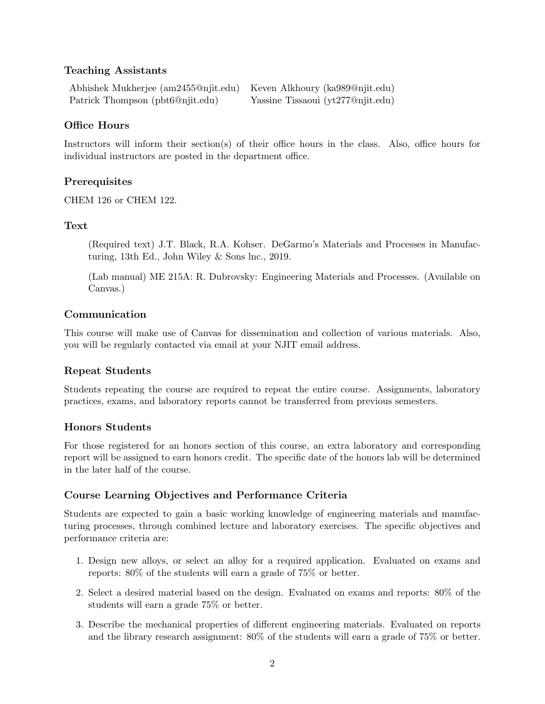## Teaching Assistants

| Abhishek Mukherjee (am2455@njit.edu) Keven Alkhoury (ka989@njit.edu) |                                   |
|----------------------------------------------------------------------|-----------------------------------|
| Patrick Thompson (pbt6@njit.edu)                                     | Yassine Tissaoui (yt277@njit.edu) |

## Office Hours

Instructors will inform their section(s) of their office hours in the class. Also, office hours for individual instructors are posted in the department office.

## **Prerequisites**

CHEM 126 or CHEM 122.

## **Text**

(Required text) J.T. Black, R.A. Kohser. DeGarmo's Materials and Processes in Manufacturing, 13th Ed., John Wiley & Sons lnc., 2019.

(Lab manual) ME 215A: R. Dubrovsky: Engineering Materials and Processes. (Available on Canvas.)

## Communication

This course will make use of Canvas for dissemination and collection of various materials. Also, you will be regularly contacted via email at your NJIT email address.

## Repeat Students

Students repeating the course are required to repeat the entire course. Assignments, laboratory practices, exams, and laboratory reports cannot be transferred from previous semesters.

## Honors Students

For those registered for an honors section of this course, an extra laboratory and corresponding report will be assigned to earn honors credit. The specific date of the honors lab will be determined in the later half of the course.

### Course Learning Objectives and Performance Criteria

Students are expected to gain a basic working knowledge of engineering materials and manufacturing processes, through combined lecture and laboratory exercises. The specific objectives and performance criteria are:

- 1. Design new alloys, or select an alloy for a required application. Evaluated on exams and reports: 80% of the students will earn a grade of 75% or better.
- 2. Select a desired material based on the design. Evaluated on exams and reports: 80% of the students will earn a grade 75% or better.
- 3. Describe the mechanical properties of different engineering materials. Evaluated on reports and the library research assignment: 80% of the students will earn a grade of 75% or better.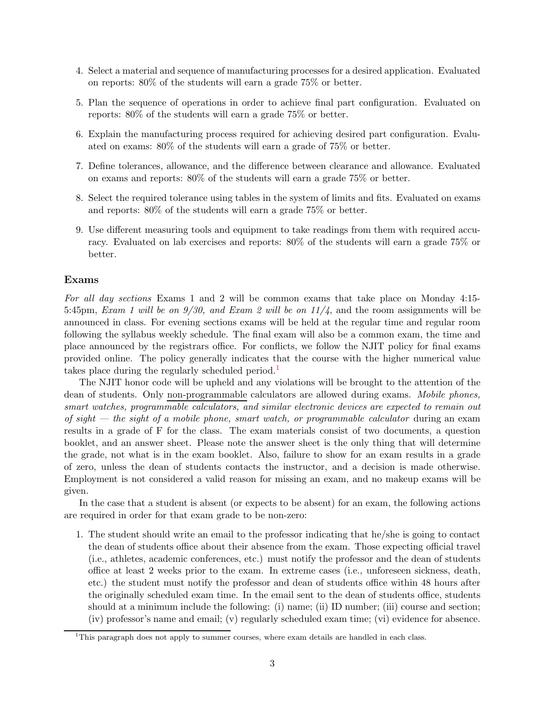- 4. Select a material and sequence of manufacturing processes for a desired application. Evaluated on reports: 80% of the students will earn a grade 75% or better.
- 5. Plan the sequence of operations in order to achieve final part configuration. Evaluated on reports: 80% of the students will earn a grade 75% or better.
- 6. Explain the manufacturing process required for achieving desired part configuration. Evaluated on exams: 80% of the students will earn a grade of 75% or better.
- 7. Define tolerances, allowance, and the difference between clearance and allowance. Evaluated on exams and reports: 80% of the students will earn a grade 75% or better.
- 8. Select the required tolerance using tables in the system of limits and fits. Evaluated on exams and reports: 80% of the students will earn a grade 75% or better.
- 9. Use different measuring tools and equipment to take readings from them with required accuracy. Evaluated on lab exercises and reports: 80% of the students will earn a grade 75% or better.

#### Exams

For all day sections Exams 1 and 2 will be common exams that take place on Monday 4:15-5:45pm, Exam 1 will be on  $9/30$ , and Exam 2 will be on  $11/4$ , and the room assignments will be announced in class. For evening sections exams will be held at the regular time and regular room following the syllabus weekly schedule. The final exam will also be a common exam, the time and place announced by the registrars office. For conflicts, we follow the NJIT policy for final exams provided online. The policy generally indicates that the course with the higher numerical value takes place during the regularly scheduled period.<sup>[1](#page-3-0)</sup>

The NJIT honor code will be upheld and any violations will be brought to the attention of the dean of students. Only non-programmable calculators are allowed during exams. Mobile phones, smart watches, programmable calculators, and similar electronic devices are expected to remain out of sight  $-$  the sight of a mobile phone, smart watch, or programmable calculator during an exam results in a grade of F for the class. The exam materials consist of two documents, a question booklet, and an answer sheet. Please note the answer sheet is the only thing that will determine the grade, not what is in the exam booklet. Also, failure to show for an exam results in a grade of zero, unless the dean of students contacts the instructor, and a decision is made otherwise. Employment is not considered a valid reason for missing an exam, and no makeup exams will be given.

In the case that a student is absent (or expects to be absent) for an exam, the following actions are required in order for that exam grade to be non-zero:

1. The student should write an email to the professor indicating that he/she is going to contact the dean of students office about their absence from the exam. Those expecting official travel (i.e., athletes, academic conferences, etc.) must notify the professor and the dean of students office at least 2 weeks prior to the exam. In extreme cases (i.e., unforeseen sickness, death, etc.) the student must notify the professor and dean of students office within 48 hours after the originally scheduled exam time. In the email sent to the dean of students office, students should at a minimum include the following: (i) name; (ii) ID number; (iii) course and section; (iv) professor's name and email; (v) regularly scheduled exam time; (vi) evidence for absence.

<span id="page-3-0"></span><sup>&</sup>lt;sup>1</sup>This paragraph does not apply to summer courses, where exam details are handled in each class.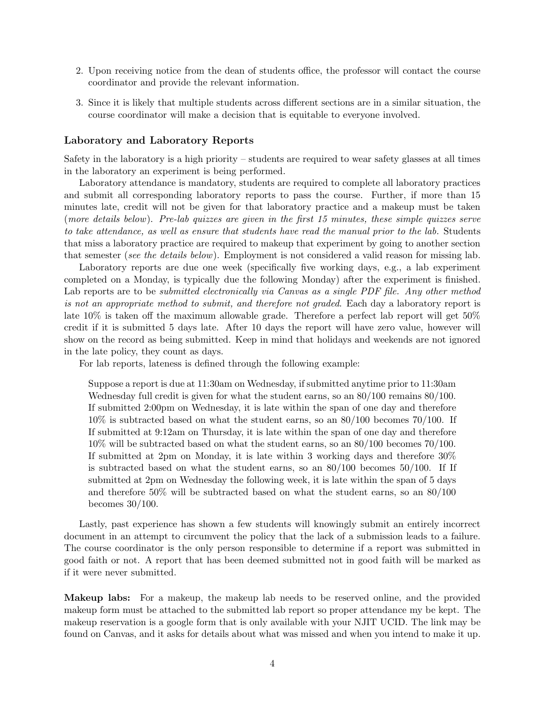- 2. Upon receiving notice from the dean of students office, the professor will contact the course coordinator and provide the relevant information.
- 3. Since it is likely that multiple students across different sections are in a similar situation, the course coordinator will make a decision that is equitable to everyone involved.

#### Laboratory and Laboratory Reports

Safety in the laboratory is a high priority – students are required to wear safety glasses at all times in the laboratory an experiment is being performed.

Laboratory attendance is mandatory, students are required to complete all laboratory practices and submit all corresponding laboratory reports to pass the course. Further, if more than 15 minutes late, credit will not be given for that laboratory practice and a makeup must be taken (more details below). Pre-lab quizzes are given in the first 15 minutes, these simple quizzes serve to take attendance, as well as ensure that students have read the manual prior to the lab. Students that miss a laboratory practice are required to makeup that experiment by going to another section that semester (see the details below). Employment is not considered a valid reason for missing lab.

Laboratory reports are due one week (specifically five working days, e.g., a lab experiment completed on a Monday, is typically due the following Monday) after the experiment is finished. Lab reports are to be *submitted electronically via Canvas as a single PDF file. Any other method* is not an appropriate method to submit, and therefore not graded. Each day a laboratory report is late 10% is taken off the maximum allowable grade. Therefore a perfect lab report will get 50% credit if it is submitted 5 days late. After 10 days the report will have zero value, however will show on the record as being submitted. Keep in mind that holidays and weekends are not ignored in the late policy, they count as days.

For lab reports, lateness is defined through the following example:

Suppose a report is due at 11:30am on Wednesday, if submitted anytime prior to 11:30am Wednesday full credit is given for what the student earns, so an  $80/100$  remains  $80/100$ . If submitted 2:00pm on Wednesday, it is late within the span of one day and therefore 10% is subtracted based on what the student earns, so an 80/100 becomes 70/100. If If submitted at 9:12am on Thursday, it is late within the span of one day and therefore 10% will be subtracted based on what the student earns, so an 80/100 becomes 70/100. If submitted at 2pm on Monday, it is late within 3 working days and therefore 30% is subtracted based on what the student earns, so an  $80/100$  becomes  $50/100$ . If If submitted at 2pm on Wednesday the following week, it is late within the span of 5 days and therefore 50% will be subtracted based on what the student earns, so an 80/100 becomes 30/100.

Lastly, past experience has shown a few students will knowingly submit an entirely incorrect document in an attempt to circumvent the policy that the lack of a submission leads to a failure. The course coordinator is the only person responsible to determine if a report was submitted in good faith or not. A report that has been deemed submitted not in good faith will be marked as if it were never submitted.

Makeup labs: For a makeup, the makeup lab needs to be reserved online, and the provided makeup form must be attached to the submitted lab report so proper attendance my be kept. The makeup reservation is a google form that is only available with your NJIT UCID. The link may be found on Canvas, and it asks for details about what was missed and when you intend to make it up.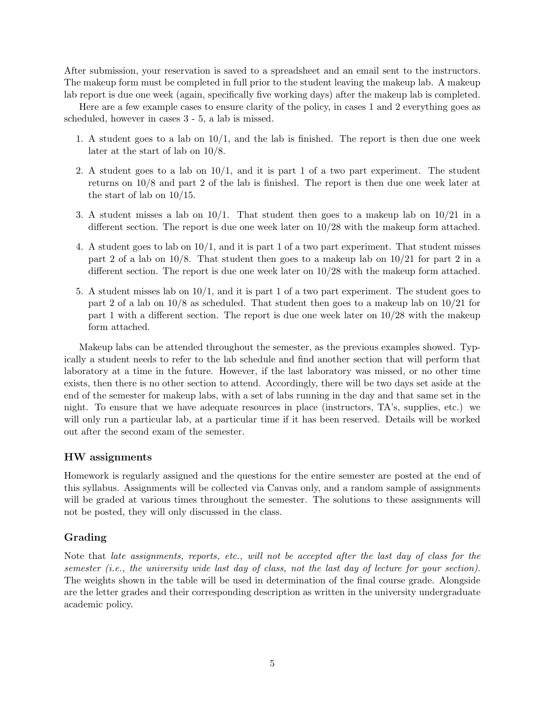After submission, your reservation is saved to a spreadsheet and an email sent to the instructors. The makeup form must be completed in full prior to the student leaving the makeup lab. A makeup lab report is due one week (again, specifically five working days) after the makeup lab is completed.

Here are a few example cases to ensure clarity of the policy, in cases 1 and 2 everything goes as scheduled, however in cases 3 - 5, a lab is missed.

- 1. A student goes to a lab on  $10/1$ , and the lab is finished. The report is then due one week later at the start of lab on 10/8.
- 2. A student goes to a lab on  $10/1$ , and it is part 1 of a two part experiment. The student returns on 10/8 and part 2 of the lab is finished. The report is then due one week later at the start of lab on 10/15.
- 3. A student misses a lab on  $10/1$ . That student then goes to a makeup lab on  $10/21$  in a different section. The report is due one week later on 10/28 with the makeup form attached.
- 4. A student goes to lab on 10/1, and it is part 1 of a two part experiment. That student misses part 2 of a lab on 10/8. That student then goes to a makeup lab on 10/21 for part 2 in a different section. The report is due one week later on 10/28 with the makeup form attached.
- 5. A student misses lab on 10/1, and it is part 1 of a two part experiment. The student goes to part 2 of a lab on 10/8 as scheduled. That student then goes to a makeup lab on 10/21 for part 1 with a different section. The report is due one week later on 10/28 with the makeup form attached.

Makeup labs can be attended throughout the semester, as the previous examples showed. Typically a student needs to refer to the lab schedule and find another section that will perform that laboratory at a time in the future. However, if the last laboratory was missed, or no other time exists, then there is no other section to attend. Accordingly, there will be two days set aside at the end of the semester for makeup labs, with a set of labs running in the day and that same set in the night. To ensure that we have adequate resources in place (instructors, TA's, supplies, etc.) we will only run a particular lab, at a particular time if it has been reserved. Details will be worked out after the second exam of the semester.

#### HW assignments

Homework is regularly assigned and the questions for the entire semester are posted at the end of this syllabus. Assignments will be collected via Canvas only, and a random sample of assignments will be graded at various times throughout the semester. The solutions to these assignments will not be posted, they will only discussed in the class.

### Grading

Note that late assignments, reports, etc., will not be accepted after the last day of class for the semester (i.e., the university wide last day of class, not the last day of lecture for your section). The weights shown in the table will be used in determination of the final course grade. Alongside are the letter grades and their corresponding description as written in the university undergraduate academic policy.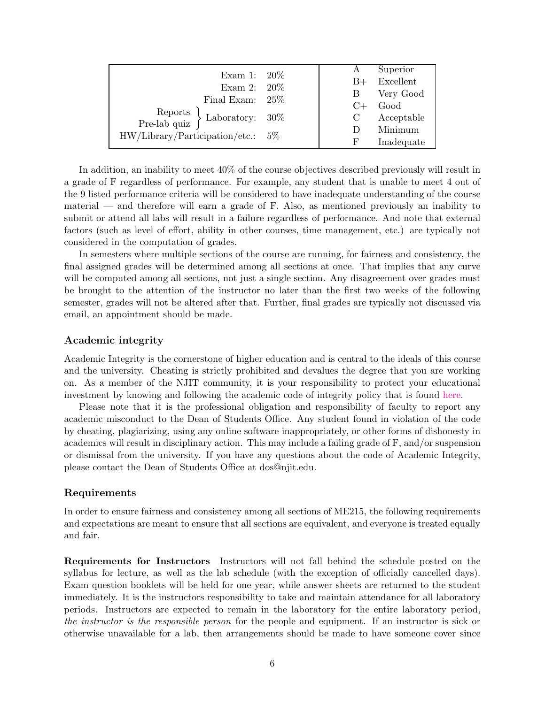| Exam 1: $20\%$                                                                                                  |                                   | А            | Superior     |
|-----------------------------------------------------------------------------------------------------------------|-----------------------------------|--------------|--------------|
|                                                                                                                 |                                   | $B+$         | Excellent    |
| Exam 2: 20%                                                                                                     |                                   | $\mathbf{B}$ | Very Good    |
| Final Exam: $25\%$                                                                                              |                                   | $C+$         | Good         |
| $\begin{tabular}{c} \bf {Reports} \\ \bf {Pre-lab~quiz} \end{tabular} \Big\} \\ \text{ Laboratory:} \quad 30\%$ |                                   |              | C Acceptable |
|                                                                                                                 | HW/Library/Participation/etc.: 5% | $\Box$       | Minimum      |
|                                                                                                                 |                                   | F            | Inadequate   |

In addition, an inability to meet 40% of the course objectives described previously will result in a grade of F regardless of performance. For example, any student that is unable to meet 4 out of the 9 listed performance criteria will be considered to have inadequate understanding of the course material — and therefore will earn a grade of  $F$ . Also, as mentioned previously an inability to submit or attend all labs will result in a failure regardless of performance. And note that external factors (such as level of effort, ability in other courses, time management, etc.) are typically not considered in the computation of grades.

In semesters where multiple sections of the course are running, for fairness and consistency, the final assigned grades will be determined among all sections at once. That implies that any curve will be computed among all sections, not just a single section. Any disagreement over grades must be brought to the attention of the instructor no later than the first two weeks of the following semester, grades will not be altered after that. Further, final grades are typically not discussed via email, an appointment should be made.

#### Academic integrity

Academic Integrity is the cornerstone of higher education and is central to the ideals of this course and the university. Cheating is strictly prohibited and devalues the degree that you are working on. As a member of the NJIT community, it is your responsibility to protect your educational investment by knowing and following the academic code of integrity policy that is found [here.](http://www5.njit.edu/policies/sites/policies/files/academic-integrity-code.pdf)

Please note that it is the professional obligation and responsibility of faculty to report any academic misconduct to the Dean of Students Office. Any student found in violation of the code by cheating, plagiarizing, using any online software inappropriately, or other forms of dishonesty in academics will result in disciplinary action. This may include a failing grade of F, and/or suspension or dismissal from the university. If you have any questions about the code of Academic Integrity, please contact the Dean of Students Office at dos@njit.edu.

#### Requirements

In order to ensure fairness and consistency among all sections of ME215, the following requirements and expectations are meant to ensure that all sections are equivalent, and everyone is treated equally and fair.

Requirements for Instructors Instructors will not fall behind the schedule posted on the syllabus for lecture, as well as the lab schedule (with the exception of officially cancelled days). Exam question booklets will be held for one year, while answer sheets are returned to the student immediately. It is the instructors responsibility to take and maintain attendance for all laboratory periods. Instructors are expected to remain in the laboratory for the entire laboratory period, the instructor is the responsible person for the people and equipment. If an instructor is sick or otherwise unavailable for a lab, then arrangements should be made to have someone cover since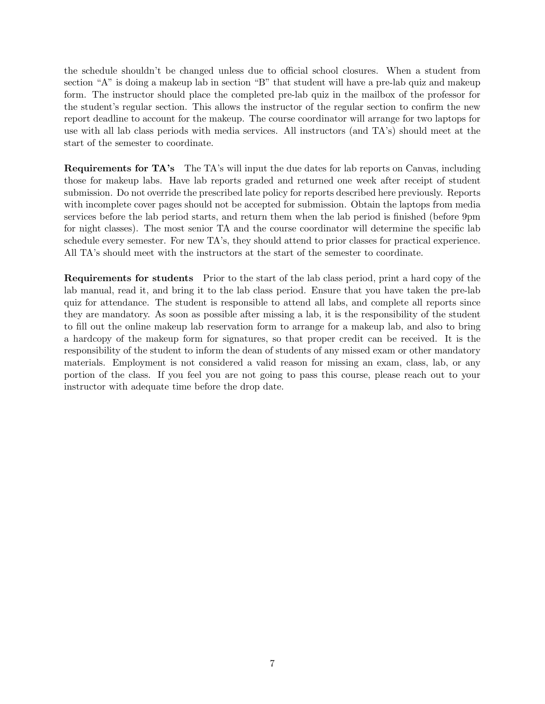the schedule shouldn't be changed unless due to official school closures. When a student from section "A" is doing a makeup lab in section "B" that student will have a pre-lab quiz and makeup form. The instructor should place the completed pre-lab quiz in the mailbox of the professor for the student's regular section. This allows the instructor of the regular section to confirm the new report deadline to account for the makeup. The course coordinator will arrange for two laptops for use with all lab class periods with media services. All instructors (and TA's) should meet at the start of the semester to coordinate.

Requirements for TA's The TA's will input the due dates for lab reports on Canvas, including those for makeup labs. Have lab reports graded and returned one week after receipt of student submission. Do not override the prescribed late policy for reports described here previously. Reports with incomplete cover pages should not be accepted for submission. Obtain the laptops from media services before the lab period starts, and return them when the lab period is finished (before 9pm for night classes). The most senior TA and the course coordinator will determine the specific lab schedule every semester. For new TA's, they should attend to prior classes for practical experience. All TA's should meet with the instructors at the start of the semester to coordinate.

Requirements for students Prior to the start of the lab class period, print a hard copy of the lab manual, read it, and bring it to the lab class period. Ensure that you have taken the pre-lab quiz for attendance. The student is responsible to attend all labs, and complete all reports since they are mandatory. As soon as possible after missing a lab, it is the responsibility of the student to fill out the online makeup lab reservation form to arrange for a makeup lab, and also to bring a hardcopy of the makeup form for signatures, so that proper credit can be received. It is the responsibility of the student to inform the dean of students of any missed exam or other mandatory materials. Employment is not considered a valid reason for missing an exam, class, lab, or any portion of the class. If you feel you are not going to pass this course, please reach out to your instructor with adequate time before the drop date.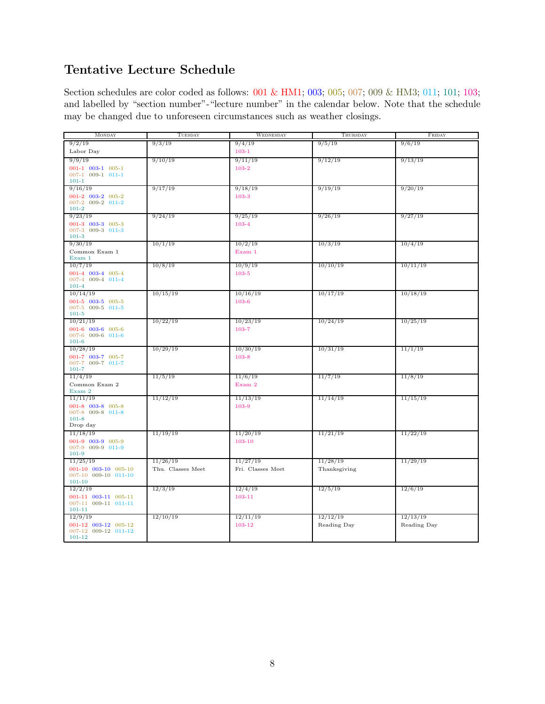# Tentative Lecture Schedule

Section schedules are color coded as follows: 001 & HM1; 003; 005; 007; 009 & HM3; 011; 101; 103; and labelled by "section number"-"lecture number" in the calendar below. Note that the schedule may be changed due to unforeseen circumstances such as weather closings.

| MONDAY                                 | TUESDAY           | WEDNESDAY         | THURSDAY     | FRIDAY      |
|----------------------------------------|-------------------|-------------------|--------------|-------------|
| 9/2/19                                 | 9/3/19            | 9/4/19            | 9/5/19       | 9/6/19      |
| Labor Day                              |                   | $103 - 1$         |              |             |
| 9/9/19                                 | 9/10/19           | 9/11/19           | 9/12/19      | 9/13/19     |
| 001-1 003-1 005-1                      |                   | $103 - 2$         |              |             |
| 007-1 009-1 011-1                      |                   |                   |              |             |
| $101 - 1$                              |                   |                   |              |             |
| 9/16/19                                | 9/17/19           | 9/18/19           | 9/19/19      | 9/20/19     |
| 001-2 003-2 005-2<br>007-2 009-2 011-2 |                   | $103 - 3$         |              |             |
| $101 - 2$                              |                   |                   |              |             |
| 9/23/19                                | 9/24/19           | 9/25/19           | 9/26/19      | 9/27/19     |
| 001-3 003-3 005-3                      |                   | $103 - 4$         |              |             |
| 007-3 009-3 011-3                      |                   |                   |              |             |
| $101-3$                                |                   |                   |              |             |
| 9/30/19                                | 10/1/19           | 10/2/19           | 10/3/19      | 10/4/19     |
| Common Exam 1<br>Exam 1                |                   | Exam 1            |              |             |
| 10/7/19                                | 10/8/19           | 10/9/19           | 10/10/19     | 10/11/19    |
| 001-4 003-4 005-4                      |                   | $103 - 5$         |              |             |
| 007-4 009-4 011-4                      |                   |                   |              |             |
| $101 - 4$                              |                   |                   |              |             |
| 10/14/19                               | 10/15/19          | 10/16/19          | 10/17/19     | 10/18/19    |
| 001-5 003-5 005-5<br>007-5 009-5 011-5 |                   | $103-6$           |              |             |
| $101 - 5$                              |                   |                   |              |             |
| 10/21/19                               | 10/22/19          | 10/23/19          | 10/24/19     | 10/25/19    |
| 001-6 003-6 005-6                      |                   | 103-7             |              |             |
| 007-6 009-6 011-6                      |                   |                   |              |             |
| $101 - 6$                              |                   |                   |              |             |
| 10/28/19                               | 10/29/19          | 10/30/19          | 10/31/19     | 11/1/19     |
| 001-7 003-7 005-7<br>007-7 009-7 011-7 |                   | $103 - 8$         |              |             |
| $101 - 7$                              |                   |                   |              |             |
| 11/4/19                                | 11/5/19           | 11/6/19           | 11/7/19      | 11/8/19     |
| Common Exam 2                          |                   | Exam 2            |              |             |
| Exam 2                                 |                   |                   |              |             |
| 11/11/19                               | 11/12/19          | 11/13/19          | 11/14/19     | 11/15/19    |
| 001-8 003-8 005-8<br>007-8 009-8 011-8 |                   | 103-9             |              |             |
| $101 - 8$                              |                   |                   |              |             |
| Drop day                               |                   |                   |              |             |
| 11/18/19                               | 11/19/19          | 11/20/19          | 11/21/19     | 11/22/19    |
| 001-9 003-9 005-9                      |                   | 103-10            |              |             |
| 007-9 009-9 011-9<br>$101-9$           |                   |                   |              |             |
| 11/25/19                               | 11/26/19          | 11/27/19          | 11/28/19     | 11/29/19    |
| 001-10 003-10 005-10                   | Thu. Classes Meet | Fri. Classes Meet | Thanksgiving |             |
| 007-10 009-10 011-10                   |                   |                   |              |             |
| $101 - 10$                             |                   |                   |              |             |
| 12/2/19                                | 12/3/19           | 12/4/19           | 12/5/19      | 12/6/19     |
| 001-11 003-11 005-11                   |                   | 103-11            |              |             |
| 007-11 009-11 011-11<br>$101 - 11$     |                   |                   |              |             |
| 12/9/19                                | 12/10/19          | 12/11/19          | 12/12/19     | 12/13/19    |
| 001-12 003-12 005-12                   |                   | 103-12            | Reading Day  | Reading Day |
| 007-12 009-12 011-12                   |                   |                   |              |             |
| 101-12                                 |                   |                   |              |             |